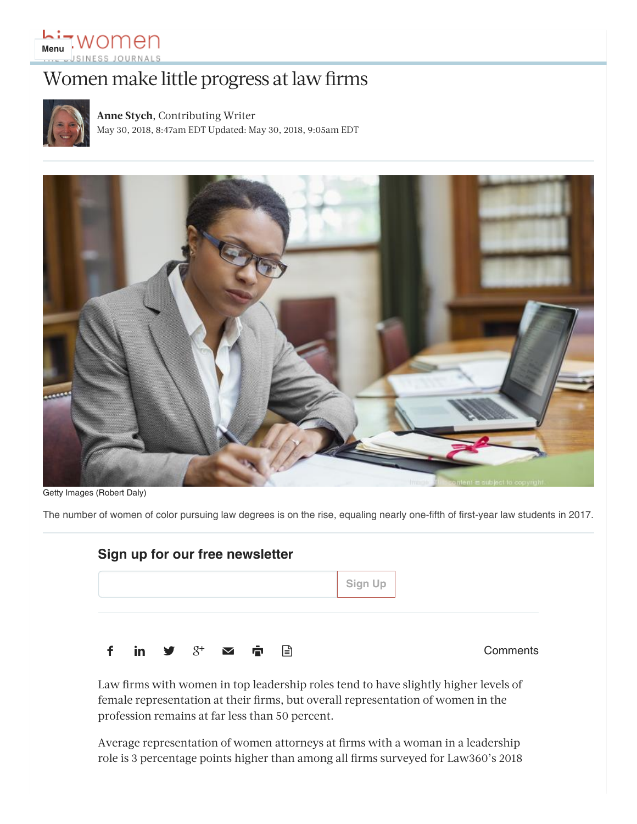# **Li-Women**

## Women make little progress at law firms



**[Anne Stych](https://www.bizjournals.com/bizwomen/bio/33482/Anne+Stych)**, Contributing Writer May 30, 2018, 8:47am EDT Updated: May 30, 2018, 9:05am EDT



Getty Images (Robert Daly)

The number of women of color pursuing law degrees is on the rise, equaling nearly one-fifth of first-year law students in 2017.

|   | Sign up for our free newsletter |                                                                                             |  |  |         |  |          |
|---|---------------------------------|---------------------------------------------------------------------------------------------|--|--|---------|--|----------|
|   |                                 |                                                                                             |  |  | Sign Up |  |          |
|   |                                 |                                                                                             |  |  |         |  |          |
| f |                                 | in $\mathcal{Y}$ $\mathcal{S}^+$ $\mathbf{\infty}$ $\mathbf{\dot{\mathbb{F}}}$ $\mathbf{r}$ |  |  |         |  | Comments |

Law firms with women in top leadership roles tend to have slightly higher levels of female representation at their firms, but overall representation of women in the profession remains at far less than 50 percent.

Average representation of women attorneys at firms with a woman in a leadership role is 3 percentage points higher than among all firms surveyed for [Law360'](https://www.law360.com/)s 2018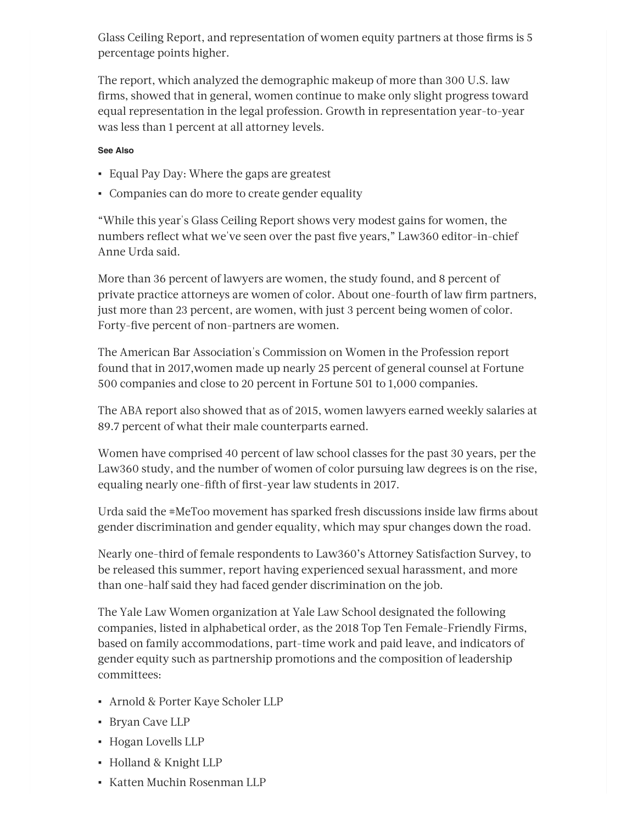Glass Ceiling Report, and representation of women equity partners at those firms is 5 percentage points higher.

The report, which analyzed the demographic makeup of more than 300 U.S. law firms, showed that in general, women continue to make only slight progress toward equal representation in the legal profession. Growth in representation year-to-year was less than 1 percent at all attorney levels.

#### **See Also**

- [Equal Pay Day: Where the gaps are greatest](https://www.bizjournals.com/bizwomen/news/latest-news/2018/04/equal-pay-day-where-the-gaps-are-greatest.html)
- [Companies can do more to create gender equality](https://www.bizjournals.com/bizwomen/news/latest-news/2018/03/companies-can-do-more-to-create-gender-equality.html)

"While this year's Glass Ceiling Report shows very modest gains for women, the numbers reflect what we've seen over the past five years," Law360 editor-in-chief [Anne Urda](https://www.bizjournals.com/bizjournals/search/results?q=Anne%20Urda) said.

More than 36 percent of lawyers are women, the study found, and 8 percent of private practice attorneys are women of color. About one-fourth of law firm partners, just more than 23 percent, are women, with just 3 percent being women of color. Forty-five percent of non-partners are women.

The American Bar Association's [Commission on Women in the Profession](https://www.americanbar.org/content/dam/aba/marketing/women/current_glance_statistics_january2017.authcheckdam.pdf) report found that in 2017,women made up nearly 25 percent of general counsel at Fortune 500 companies and close to 20 percent in Fortune 501 to 1,000 companies.

The ABA report also showed that as of 2015, women lawyers earned weekly salaries at 89.7 percent of what their male counterparts earned.

Women have comprised 40 percent of law school classes for the past 30 years, per the Law360 study, and the number of women of color pursuing law degrees is on the rise, equaling nearly one-fifth of first-year law students in 2017.

Urda said the #MeToo movement has sparked fresh discussions inside law firms about gender discrimination and gender equality, which may spur changes down the road.

Nearly one-third of female respondents to Law360's Attorney Satisfaction Survey, to be released this summer, report having experienced sexual harassment, and more than one-half said they had faced gender discrimination on the job.

The Yale Law Women organization at Yale Law School designated the following companies, listed in alphabetical order, as the [2018 Top Ten Female-Friendly Firms](http://yalelawwomen.org/top-ten-list/), based on family accommodations, part-time work and paid leave, and indicators of gender equity such as partnership promotions and the composition of leadership committees:

- Arnold & Porter Kaye Scholer LLP
- Bryan Cave LLP
- Hogan Lovells LLP
- Holland & Knight LLP
- Katten Muchin Rosenman LLP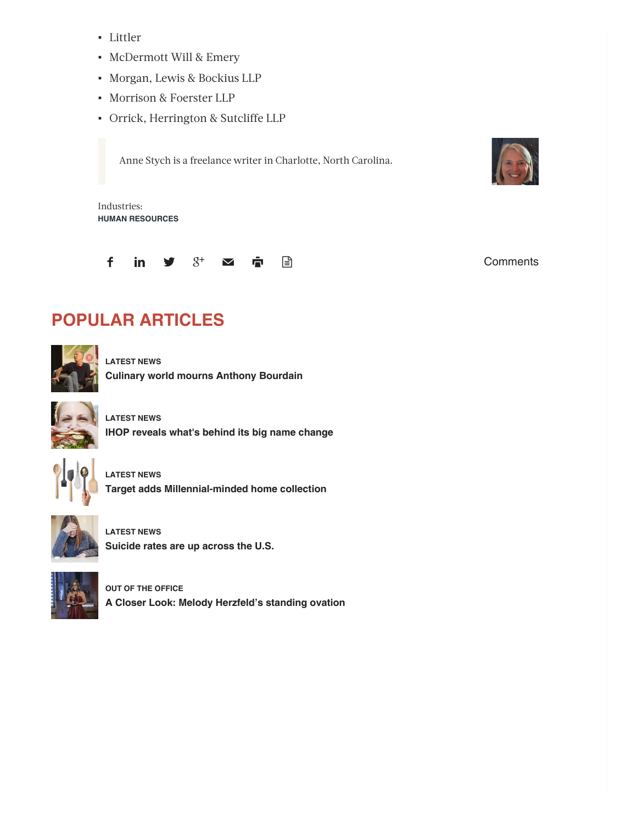- Littler
- McDermott Will & Emery
- Morgan, Lewis & Bockius LLP
- Morrison & Foerster LLP
- Orrick, Herrington & Sutcliffe LLP

Anne Stych is a freelance writer in Charlotte, North Carolina.



Industries: **[HUMAN RESOURCES](https://www.bizjournals.com/bizwomen/industry-news/human-resources/)**



#### **POPULAR ARTICLES**



**[LATEST NEWS](https://www.bizjournals.com/bizwomen/news/latest-news/) [Culinary world mourns Anthony Bourdain](https://www.bizjournals.com/bizwomen/news/latest-news/2018/06/culinary-world-mourns-anthony-bourdain.html)**



**[LATEST NEWS](https://www.bizjournals.com/bizwomen/news/latest-news/) [IHOP reveals what's behind its big name change](https://www.bizjournals.com/bizwomen/news/latest-news/2018/06/ihop-reveals-whats-behind-its-big-name-change.html)**



**[LATEST NEWS](https://www.bizjournals.com/bizwomen/news/latest-news/) [Target adds Millennial-minded home collection](https://www.bizjournals.com/bizwomen/news/latest-news/2018/06/target-adds-millennial-minded-home-collection.html)**



**[LATEST NEWS](https://www.bizjournals.com/bizwomen/news/latest-news/) [Suicide rates are up across the U.S.](https://www.bizjournals.com/bizwomen/news/latest-news/2018/06/suicide-rates-are-up-across-the-u-s.html)**



**[OUT OF THE OFFICE](https://www.bizjournals.com/bizwomen/news/out-of-the-office/) [A Closer Look: Melody Herzfeld's standing ovation](https://www.bizjournals.com/bizwomen/news/out-of-the-office/2018/06/a-closer-look-melody-herzfeld-s-standing-ovation.html)**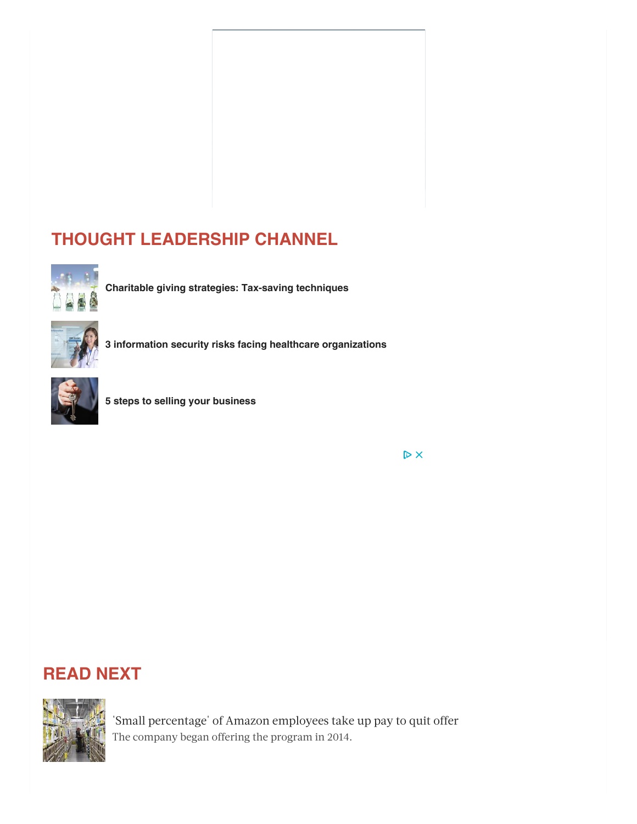### **[THOUGHT LEADERSHIP CHANNEL](https://www.bizjournals.com/bizwomen/channels/cbiz)**



**[Charitable giving strategies: Tax-saving techniques](https://www.bizjournals.com/bizwomen/channels/cbiz/2016/07/charitable-giving-strategies-tax-saving-techniques.html)**



**[3 information security risks facing healthcare organizations](https://www.bizjournals.com/bizwomen/channels/cbiz/2016/07/3-information-security-risks-facing-healthcare.html)**



**[5 steps to selling your business](https://www.bizjournals.com/bizwomen/channels/cbiz/2016/12/5-steps-to-selling-your-business.html)**

 $\triangleright$  X

#### **READ NEXT**



['Small percentage' of Amazon employees take up pay to quit offer](https://www.bizjournals.com/bizwomen/news/latest-news/2018/06/small-percentage-of-amazon-employees-take-up-pay.html) The company began offering the program in 2014.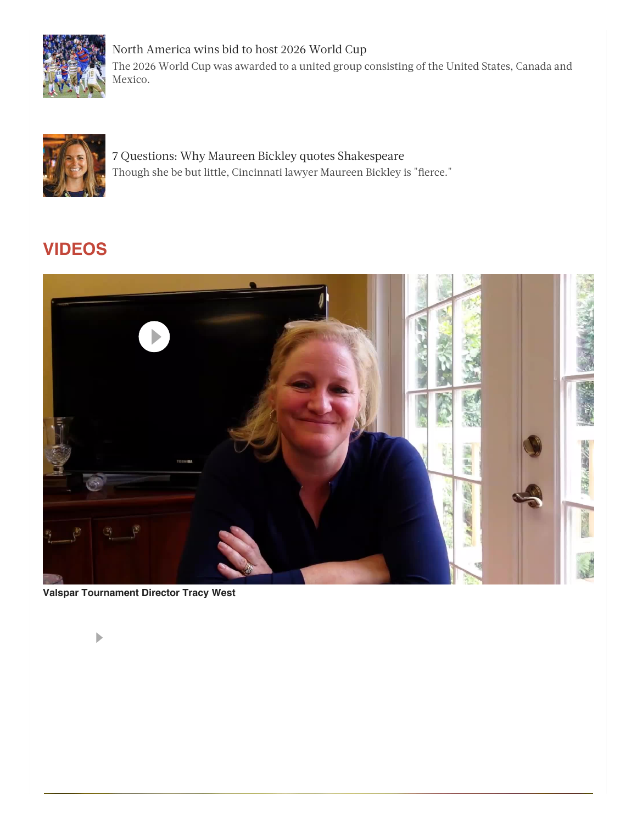

[North America wins bid to host 2026 World Cup](https://www.bizjournals.com/bizwomen/news/latest-news/2018/06/north-america-wins-bid-to-host-2026-world-cup.html) The 2026 World Cup was awarded to a united group consisting of the United States, Canada and Mexico.



[7 Questions: Why Maureen Bickley quotes Shakespeare](https://www.bizjournals.com/bizwomen/news/latest-news/2018/06/7-questions-why-maureen-bickley-quotes-shakespeare.html) Though she be but little, Cincinnati lawyer Maureen Bickley is "fierce."

# **[VIDEOS](https://www.bizjournals.com/bizwomen/video)**



**[Valspar Tournament Director Tracy West](https://www.bizjournals.com/bizwomen/video/Q4bzZrZTE6_dFzOTzVJNihE2-mOoImOx)**

b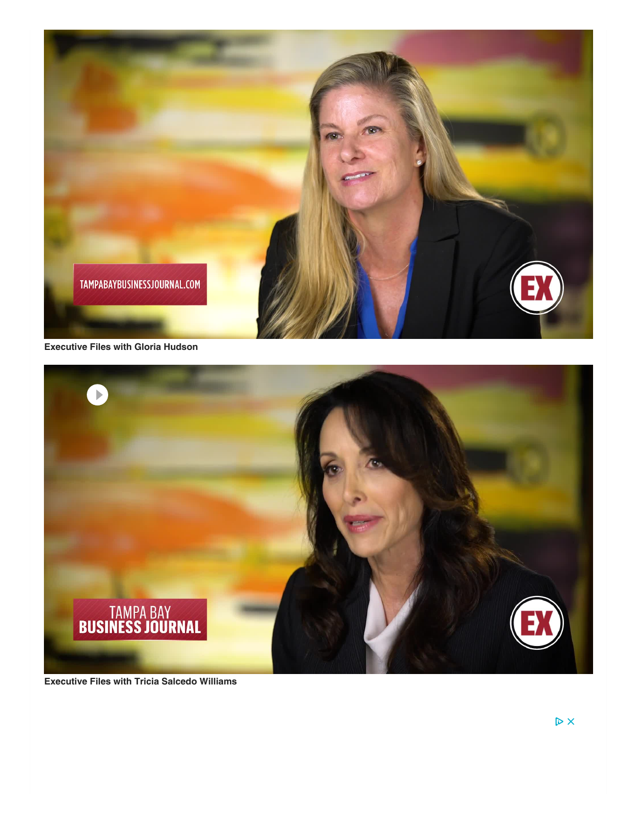

**[Executive Files with Gloria Hudson](https://www.bizjournals.com/bizwomen/video/0yYnlyYzE6llWhQhl9grzPkavWTGpkVG)**



**[Executive Files with Tricia Salcedo Williams](https://www.bizjournals.com/bizwomen/video/R1Z3VrYzE6j_8Ac3k9LjY35LxQ27CFTQ)**